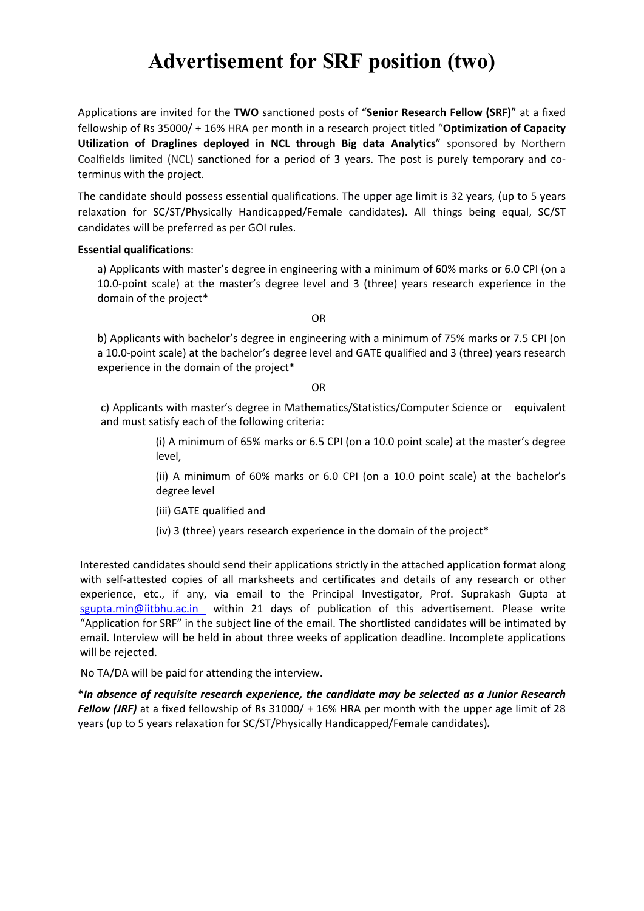# **Advertisement for SRF position (two)**

Applications are invited for the **TWO** sanctioned posts of "**Senior Research Fellow (SRF)**" at a fixed fellowship of Rs 35000/ + 16% HRA per month in a research project titled "**Optimization of Capacity Utilization of Draglines deployed in NCL through Big data Analytics**" sponsored by Northern Coalfields limited (NCL) sanctioned for a period of 3 years. The post is purely temporary and co‐ terminus with the project.

The candidate should possess essential qualifications. The upper age limit is 32 years, (up to 5 years relaxation for SC/ST/Physically Handicapped/Female candidates). All things being equal, SC/ST candidates will be preferred as per GOI rules.

#### **Essential qualifications**:

a) Applicants with master's degree in engineering with a minimum of 60% marks or 6.0 CPI (on a 10.0‐point scale) at the master's degree level and 3 (three) years research experience in the domain of the project\*

OR

b) Applicants with bachelor's degree in engineering with a minimum of 75% marks or 7.5 CPI (on a 10.0‐point scale) at the bachelor's degree level and GATE qualified and 3 (three) years research experience in the domain of the project\*

OR

c) Applicants with master's degree in Mathematics/Statistics/Computer Science or equivalent and must satisfy each of the following criteria:

> (i) A minimum of 65% marks or 6.5 CPI (on a 10.0 point scale) at the master's degree level,

> (ii) A minimum of 60% marks or 6.0 CPI (on a 10.0 point scale) at the bachelor's degree level

(iii) GATE qualified and

(iv) 3 (three) years research experience in the domain of the project\*

Interested candidates should send their applications strictly in the attached application format along with self-attested copies of all marksheets and certificates and details of any research or other experience, etc., if any, via email to the Principal Investigator, Prof. Suprakash Gupta at sgupta.min@iitbhu.ac.in within 21 days of publication of this advertisement. Please write "Application for SRF" in the subject line of the email. The shortlisted candidates will be intimated by email. Interview will be held in about three weeks of application deadline. Incomplete applications will be rejected.

No TA/DA will be paid for attending the interview.

**\****In absence of requisite research experience, the candidate may be selected as a Junior Research Fellow (JRF)* at a fixed fellowship of Rs 31000/ + 16% HRA per month with the upper age limit of 28 years (up to 5 years relaxation for SC/ST/Physically Handicapped/Female candidates)*.*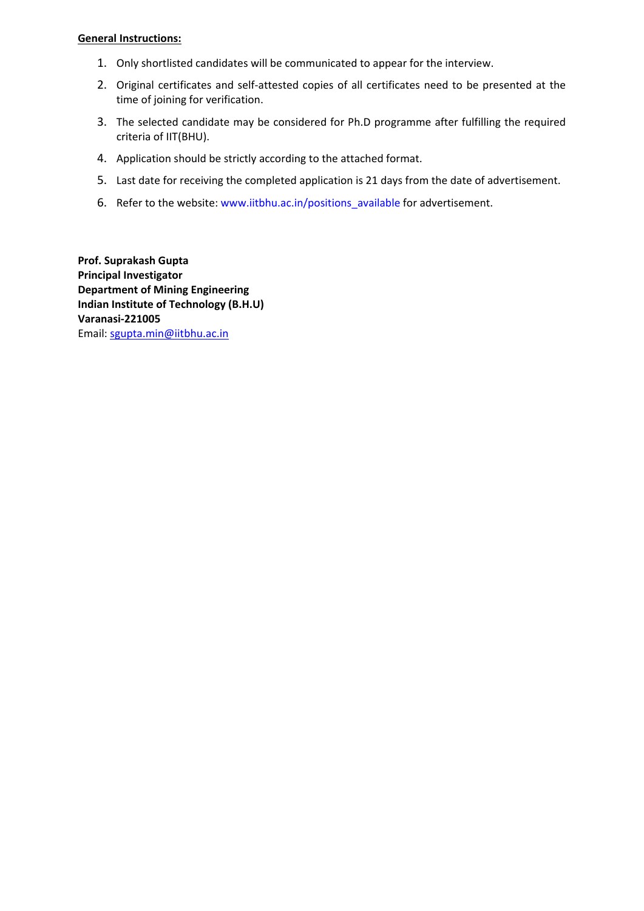#### **General Instructions:**

- 1. Only shortlisted candidates will be communicated to appear for the interview.
- 2. Original certificates and self-attested copies of all certificates need to be presented at the time of joining for verification.
- 3. The selected candidate may be considered for Ph.D programme after fulfilling the required criteria of IIT(BHU).
- 4. Application should be strictly according to the attached format.
- 5. Last date for receiving the completed application is 21 days from the date of advertisement.
- 6. Refer to the website: www.iitbhu.ac.in/positions\_available for advertisement.

**Prof. Suprakash Gupta Principal Investigator Department of Mining Engineering Indian Institute of Technology (B.H.U) Varanasi‐221005** Email: sgupta.min@iitbhu.ac.in